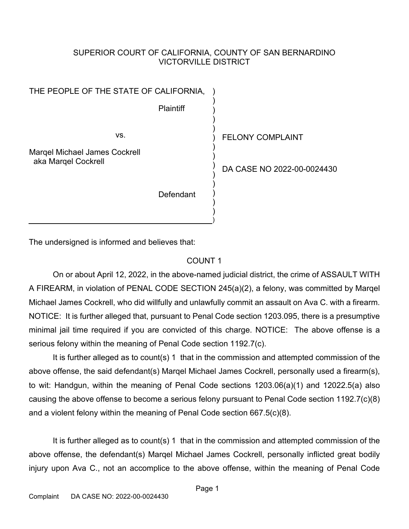### SUPERIOR COURT OF CALIFORNIA, COUNTY OF SAN BERNARDINO VICTORVILLE DISTRICT

THE PEOPLE OF THE STATE OF CALIFORNIA, **Plaintiff** vs. Marqel Michael James Cockrell aka Marqel Cockrell **Defendant** ) ) ) ) ) ) ) ) ) ) ) ) ) ) )

FELONY COMPLAINT

DA CASE NO 2022-00-0024430

The undersigned is informed and believes that:

### COUNT 1

On or about April 12, 2022, in the above-named judicial district, the crime of ASSAULT WITH A FIREARM, in violation of PENAL CODE SECTION 245(a)(2), a felony, was committed by Marqel Michael James Cockrell, who did willfully and unlawfully commit an assault on Ava C. with a firearm. NOTICE: It is further alleged that, pursuant to Penal Code section 1203.095, there is a presumptive minimal jail time required if you are convicted of this charge. NOTICE: The above offense is a serious felony within the meaning of Penal Code section 1192.7(c).

It is further alleged as to count(s) 1 that in the commission and attempted commission of the above offense, the said defendant(s) Marqel Michael James Cockrell, personally used a firearm(s), to wit: Handgun, within the meaning of Penal Code sections 1203.06(a)(1) and 12022.5(a) also causing the above offense to become a serious felony pursuant to Penal Code section 1192.7(c)(8) and a violent felony within the meaning of Penal Code section 667.5(c)(8).

It is further alleged as to count(s) 1 that in the commission and attempted commission of the above offense, the defendant(s) Marqel Michael James Cockrell, personally inflicted great bodily injury upon Ava C., not an accomplice to the above offense, within the meaning of Penal Code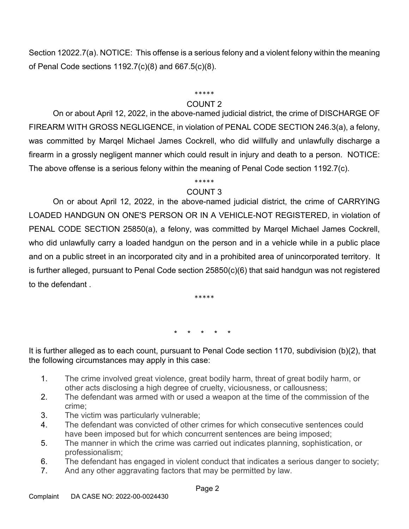Section 12022.7(a). NOTICE: This offense is a serious felony and a violent felony within the meaning of Penal Code sections 1192.7(c)(8) and 667.5(c)(8).

#### \*\*\*\*\*

### COUNT 2

On or about April 12, 2022, in the above-named judicial district, the crime of DISCHARGE OF FIREARM WITH GROSS NEGLIGENCE, in violation of PENAL CODE SECTION 246.3(a), a felony, was committed by Marqel Michael James Cockrell, who did willfully and unlawfully discharge a firearm in a grossly negligent manner which could result in injury and death to a person. NOTICE: The above offense is a serious felony within the meaning of Penal Code section 1192.7(c).

# \*\*\*\*\*

## COUNT 3

On or about April 12, 2022, in the above-named judicial district, the crime of CARRYING LOADED HANDGUN ON ONE'S PERSON OR IN A VEHICLE-NOT REGISTERED, in violation of PENAL CODE SECTION 25850(a), a felony, was committed by Marqel Michael James Cockrell, who did unlawfully carry a loaded handgun on the person and in a vehicle while in a public place and on a public street in an incorporated city and in a prohibited area of unincorporated territory. It is further alleged, pursuant to Penal Code section 25850(c)(6) that said handgun was not registered to the defendant .

\*\*\*\*\*

\* \* \* \* \*

It is further alleged as to each count, pursuant to Penal Code section 1170, subdivision (b)(2), that the following circumstances may apply in this case:

- 1. The crime involved great violence, great bodily harm, threat of great bodily harm, or other acts disclosing a high degree of cruelty, viciousness, or callousness;
- 2. The defendant was armed with or used a weapon at the time of the commission of the crime;
- 3. The victim was particularly vulnerable;
- 4. The defendant was convicted of other crimes for which consecutive sentences could have been imposed but for which concurrent sentences are being imposed;
- 5. The manner in which the crime was carried out indicates planning, sophistication, or professionalism;
- 6. The defendant has engaged in violent conduct that indicates a serious danger to society;
- 7. And any other aggravating factors that may be permitted by law.